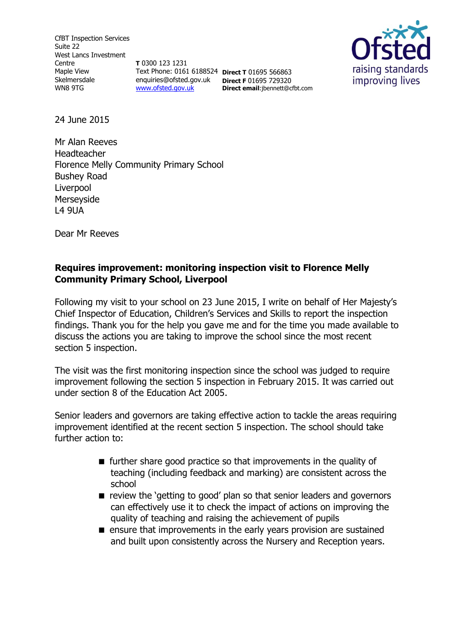CfBT Inspection Services Suite 22 West Lancs Investment Centre Maple View Skelmersdale WN8 9TG

**T** 0300 123 1231 Text Phone: 0161 6188524 **Direct T** 01695 566863 enquiries@ofsted.gov.uk **Direct F** 01695 729320 [www.ofsted.gov.uk](http://www.ofsted.gov.uk/)

**Direct email**:jbennett@cfbt.com



24 June 2015

Mr Alan Reeves Headteacher Florence Melly Community Primary School Bushey Road Liverpool Merseyside L4 9UA

Dear Mr Reeves

## **Requires improvement: monitoring inspection visit to Florence Melly Community Primary School, Liverpool**

Following my visit to your school on 23 June 2015, I write on behalf of Her Majesty's Chief Inspector of Education, Children's Services and Skills to report the inspection findings. Thank you for the help you gave me and for the time you made available to discuss the actions you are taking to improve the school since the most recent section 5 inspection.

The visit was the first monitoring inspection since the school was judged to require improvement following the section 5 inspection in February 2015. It was carried out under section 8 of the Education Act 2005.

Senior leaders and governors are taking effective action to tackle the areas requiring improvement identified at the recent section 5 inspection. The school should take further action to:

- $\blacksquare$  further share good practice so that improvements in the quality of teaching (including feedback and marking) are consistent across the school
- **E** review the 'getting to good' plan so that senior leaders and governors can effectively use it to check the impact of actions on improving the quality of teaching and raising the achievement of pupils
- **E** ensure that improvements in the early years provision are sustained and built upon consistently across the Nursery and Reception years.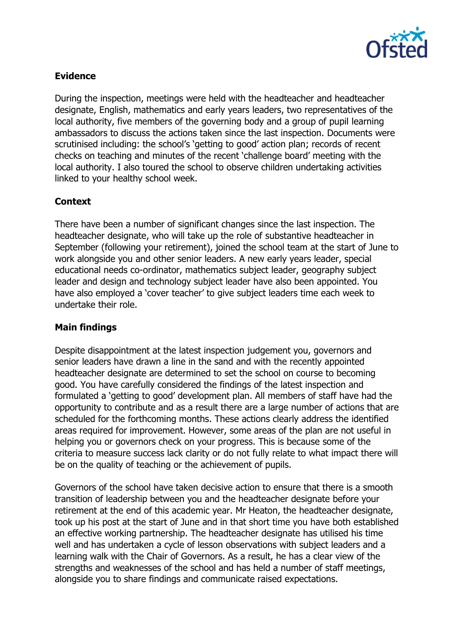

## **Evidence**

During the inspection, meetings were held with the headteacher and headteacher designate, English, mathematics and early years leaders, two representatives of the local authority, five members of the governing body and a group of pupil learning ambassadors to discuss the actions taken since the last inspection. Documents were scrutinised including: the school's 'getting to good' action plan; records of recent checks on teaching and minutes of the recent 'challenge board' meeting with the local authority. I also toured the school to observe children undertaking activities linked to your healthy school week.

# **Context**

There have been a number of significant changes since the last inspection. The headteacher designate, who will take up the role of substantive headteacher in September (following your retirement), joined the school team at the start of June to work alongside you and other senior leaders. A new early years leader, special educational needs co-ordinator, mathematics subject leader, geography subject leader and design and technology subject leader have also been appointed. You have also employed a 'cover teacher' to give subject leaders time each week to undertake their role.

#### **Main findings**

Despite disappointment at the latest inspection judgement you, governors and senior leaders have drawn a line in the sand and with the recently appointed headteacher designate are determined to set the school on course to becoming good. You have carefully considered the findings of the latest inspection and formulated a 'getting to good' development plan. All members of staff have had the opportunity to contribute and as a result there are a large number of actions that are scheduled for the forthcoming months. These actions clearly address the identified areas required for improvement. However, some areas of the plan are not useful in helping you or governors check on your progress. This is because some of the criteria to measure success lack clarity or do not fully relate to what impact there will be on the quality of teaching or the achievement of pupils.

Governors of the school have taken decisive action to ensure that there is a smooth transition of leadership between you and the headteacher designate before your retirement at the end of this academic year. Mr Heaton, the headteacher designate, took up his post at the start of June and in that short time you have both established an effective working partnership. The headteacher designate has utilised his time well and has undertaken a cycle of lesson observations with subject leaders and a learning walk with the Chair of Governors. As a result, he has a clear view of the strengths and weaknesses of the school and has held a number of staff meetings, alongside you to share findings and communicate raised expectations.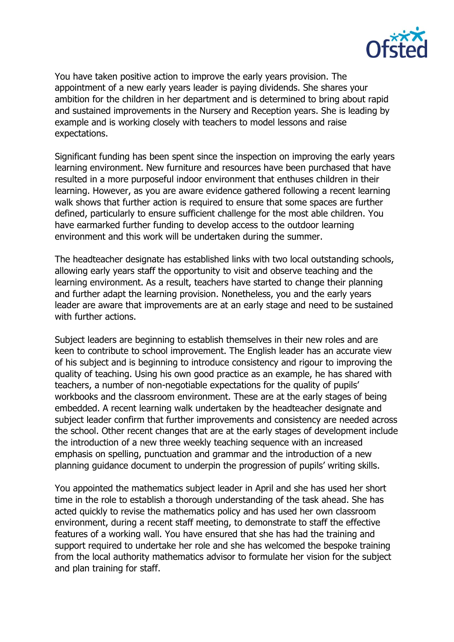

You have taken positive action to improve the early years provision. The appointment of a new early years leader is paying dividends. She shares your ambition for the children in her department and is determined to bring about rapid and sustained improvements in the Nursery and Reception years. She is leading by example and is working closely with teachers to model lessons and raise expectations.

Significant funding has been spent since the inspection on improving the early years learning environment. New furniture and resources have been purchased that have resulted in a more purposeful indoor environment that enthuses children in their learning. However, as you are aware evidence gathered following a recent learning walk shows that further action is required to ensure that some spaces are further defined, particularly to ensure sufficient challenge for the most able children. You have earmarked further funding to develop access to the outdoor learning environment and this work will be undertaken during the summer.

The headteacher designate has established links with two local outstanding schools, allowing early years staff the opportunity to visit and observe teaching and the learning environment. As a result, teachers have started to change their planning and further adapt the learning provision. Nonetheless, you and the early years leader are aware that improvements are at an early stage and need to be sustained with further actions.

Subject leaders are beginning to establish themselves in their new roles and are keen to contribute to school improvement. The English leader has an accurate view of his subject and is beginning to introduce consistency and rigour to improving the quality of teaching. Using his own good practice as an example, he has shared with teachers, a number of non-negotiable expectations for the quality of pupils' workbooks and the classroom environment. These are at the early stages of being embedded. A recent learning walk undertaken by the headteacher designate and subject leader confirm that further improvements and consistency are needed across the school. Other recent changes that are at the early stages of development include the introduction of a new three weekly teaching sequence with an increased emphasis on spelling, punctuation and grammar and the introduction of a new planning guidance document to underpin the progression of pupils' writing skills.

You appointed the mathematics subject leader in April and she has used her short time in the role to establish a thorough understanding of the task ahead. She has acted quickly to revise the mathematics policy and has used her own classroom environment, during a recent staff meeting, to demonstrate to staff the effective features of a working wall. You have ensured that she has had the training and support required to undertake her role and she has welcomed the bespoke training from the local authority mathematics advisor to formulate her vision for the subject and plan training for staff.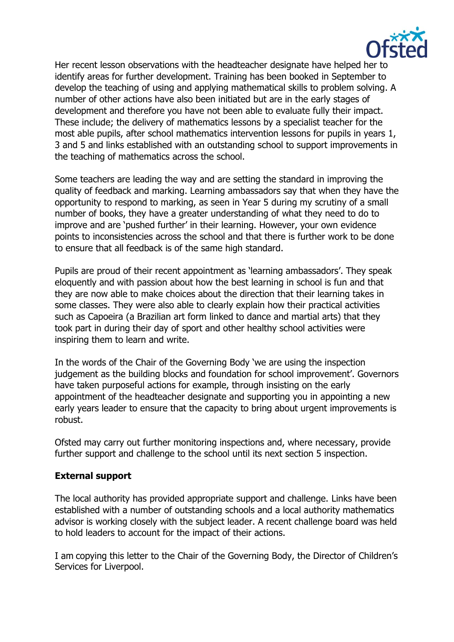

Her recent lesson observations with the headteacher designate have helped her to identify areas for further development. Training has been booked in September to develop the teaching of using and applying mathematical skills to problem solving. A number of other actions have also been initiated but are in the early stages of development and therefore you have not been able to evaluate fully their impact. These include; the delivery of mathematics lessons by a specialist teacher for the most able pupils, after school mathematics intervention lessons for pupils in years 1, 3 and 5 and links established with an outstanding school to support improvements in the teaching of mathematics across the school.

Some teachers are leading the way and are setting the standard in improving the quality of feedback and marking. Learning ambassadors say that when they have the opportunity to respond to marking, as seen in Year 5 during my scrutiny of a small number of books, they have a greater understanding of what they need to do to improve and are 'pushed further' in their learning. However, your own evidence points to inconsistencies across the school and that there is further work to be done to ensure that all feedback is of the same high standard.

Pupils are proud of their recent appointment as 'learning ambassadors'. They speak eloquently and with passion about how the best learning in school is fun and that they are now able to make choices about the direction that their learning takes in some classes. They were also able to clearly explain how their practical activities such as Capoeira (a Brazilian art form linked to dance and martial arts) that they took part in during their day of sport and other healthy school activities were inspiring them to learn and write.

In the words of the Chair of the Governing Body 'we are using the inspection judgement as the building blocks and foundation for school improvement'. Governors have taken purposeful actions for example, through insisting on the early appointment of the headteacher designate and supporting you in appointing a new early years leader to ensure that the capacity to bring about urgent improvements is robust.

Ofsted may carry out further monitoring inspections and, where necessary, provide further support and challenge to the school until its next section 5 inspection.

#### **External support**

The local authority has provided appropriate support and challenge. Links have been established with a number of outstanding schools and a local authority mathematics advisor is working closely with the subject leader. A recent challenge board was held to hold leaders to account for the impact of their actions.

I am copying this letter to the Chair of the Governing Body, the Director of Children's Services for Liverpool.